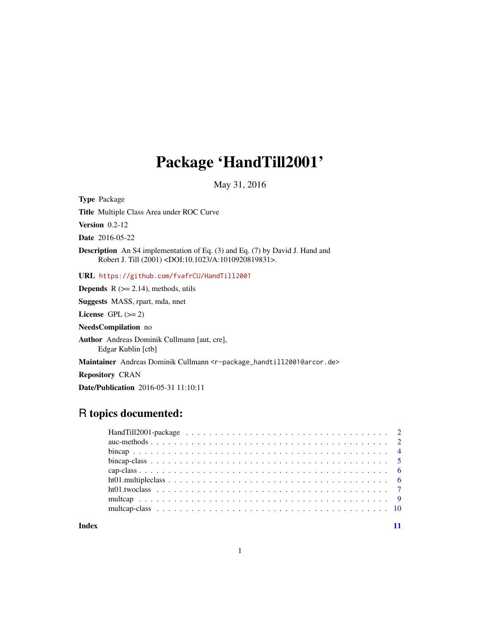## Package 'HandTill2001'

May 31, 2016

<span id="page-0-0"></span>Type Package

Title Multiple Class Area under ROC Curve

**Version** 0.2-12

Date 2016-05-22

Description An S4 implementation of Eq. (3) and Eq. (7) by David J. Hand and Robert J. Till (2001) <DOI:10.1023/A:1010920819831>.

URL <https://github.com/fvafrCU/HandTill2001>

**Depends**  $R$  ( $>= 2.14$ ), methods, utils

Suggests MASS, rpart, mda, nnet

License GPL  $(>= 2)$ 

NeedsCompilation no

Author Andreas Dominik Cullmann [aut, cre], Edgar Kublin [ctb]

Maintainer Andreas Dominik Cullmann <r-package\_handtill2001@arcor.de>

Repository CRAN

Date/Publication 2016-05-31 11:10:11

## R topics documented:

**Index** [11](#page-10-0)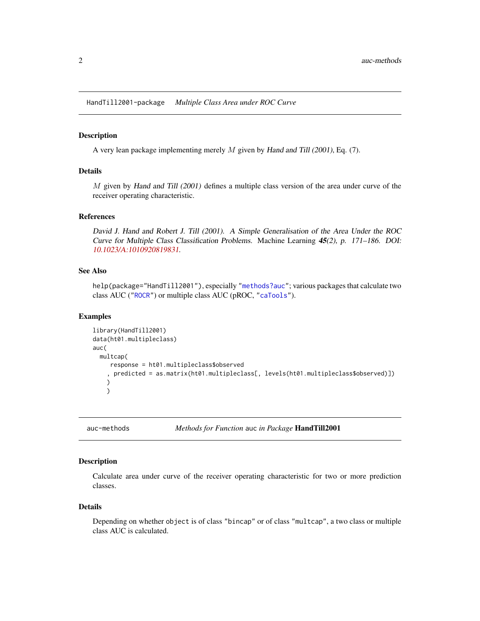<span id="page-1-0"></span>HandTill2001-package *Multiple Class Area under ROC Curve*

#### Description

A very lean package implementing merely M given by Hand and Till (2001), Eq. (7).

#### Details

M given by Hand and Till (2001) defines a multiple class version of the area under curve of the receiver operating characteristic.

#### References

David J. Hand and Robert J. Till (2001). A Simple Generalisation of the Area Under the ROC Curve for Multiple Class Classification Problems. Machine Learning 45(2), p. 171–186. DOI: [10.1023/A:1010920819831](http://dx.doi.org/10.1023/A:1010920819831).

## See Also

help(package="HandTill2001"), especially ["methods?auc"](#page-1-1); various packages that calculate two class AUC (["ROCR"](#page-0-0)) or multiple class AUC (pROC, ["caTools"](#page-0-0)).

#### Examples

```
library(HandTill2001)
data(ht01.multipleclass)
auc(
 multcap(
    response = ht01.multipleclass$observed
    , predicted = as.matrix(ht01.multipleclass[, levels(ht01.multipleclass$observed)])
   )
   )
```
<span id="page-1-1"></span>auc-methods *Methods for Function* auc *in Package* HandTill2001

#### Description

Calculate area under curve of the receiver operating characteristic for two or more prediction classes.

#### Details

Depending on whether object is of class "bincap" or of class "multcap", a two class or multiple class AUC is calculated.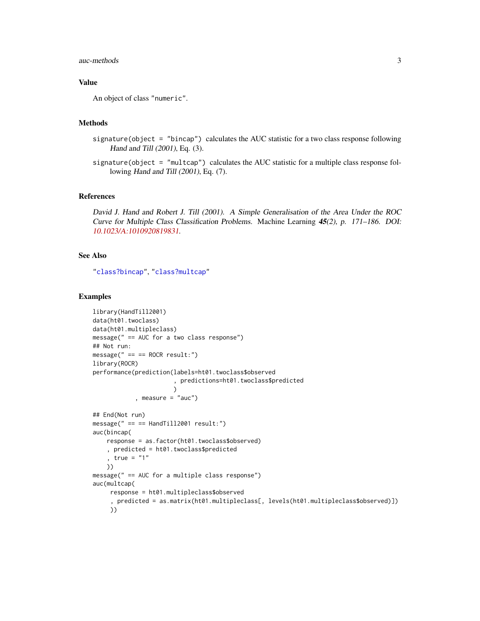#### <span id="page-2-0"></span>auc-methods 3

## Value

An object of class "numeric".

#### Methods

- signature(object = "bincap") calculates the AUC statistic for a two class response following Hand and Till (2001), Eq. (3).
- signature(object =  $"multcap"$ ) calculates the AUC statistic for a multiple class response following Hand and Till (2001), Eq. (7).

#### References

David J. Hand and Robert J. Till (2001). A Simple Generalisation of the Area Under the ROC Curve for Multiple Class Classification Problems. Machine Learning 45(2), p. 171–186. DOI: [10.1023/A:1010920819831](http://dx.doi.org/10.1023/A:1010920819831).

## See Also

["class?bincap"](#page-4-1), ["class?multcap"](#page-9-1)

```
library(HandTill2001)
data(ht01.twoclass)
data(ht01.multipleclass)
message(" == AUC for a two class response")
## Not run:
message(" == == ROCK result:")library(ROCR)
performance(prediction(labels=ht01.twoclass$observed
                       , predictions=ht01.twoclass$predicted
                       )
            , measure = "auc")
## End(Not run)
message(" == == HandTill2001 result:")
auc(bincap(
    response = as.factor(ht01.twoclass$observed)
    , predicted = ht01.twoclass$predicted
    , true = "1"))
message(" == AUC for a multiple class response")
auc(multcap(
     response = ht01.multipleclass$observed
     , predicted = as.matrix(ht01.multipleclass[, levels(ht01.multipleclass$observed)])
     ))
```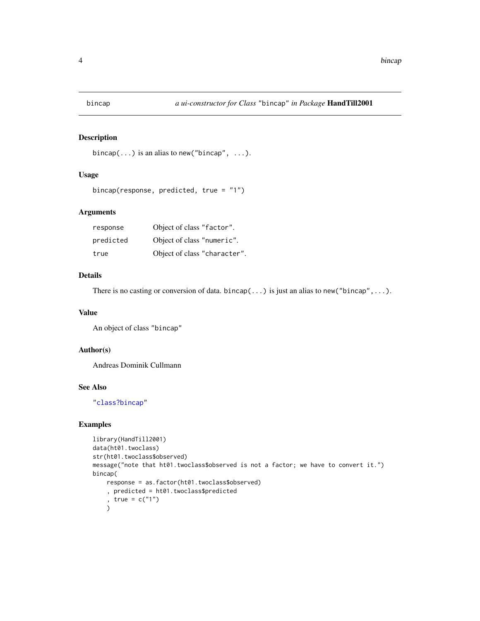<span id="page-3-1"></span><span id="page-3-0"></span>

```
bincap(\ldots) is an alias to new ("bincap", \ldots).
```
## Usage

```
bincap(response, predicted, true = "1")
```
## Arguments

| response  | Object of class "factor".    |
|-----------|------------------------------|
| predicted | Object of class "numeric".   |
| true      | Object of class "character". |

## Details

There is no casting or conversion of data. bincap $(\ldots)$  is just an alias to new("bincap", ...).

#### Value

An object of class "bincap"

## Author(s)

Andreas Dominik Cullmann

#### See Also

["class?bincap"](#page-4-1)

```
library(HandTill2001)
data(ht01.twoclass)
str(ht01.twoclass$observed)
message("note that ht01.twoclass$observed is not a factor; we have to convert it.")
bincap(
    response = as.factor(ht01.twoclass$observed)
    , predicted = ht01.twoclass$predicted
    , true = c("1")\lambda
```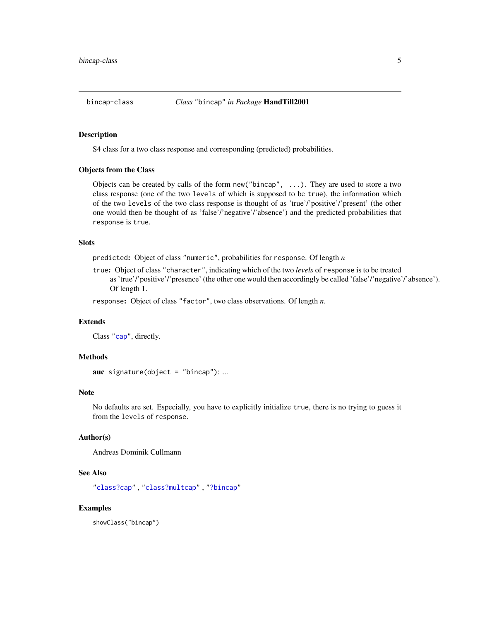<span id="page-4-1"></span><span id="page-4-0"></span>

S4 class for a two class response and corresponding (predicted) probabilities.

#### Objects from the Class

Objects can be created by calls of the form new("bincap", ...). They are used to store a two class response (one of the two levels of which is supposed to be true), the information which of the two levels of the two class response is thought of as 'true'/'positive'/'present' (the other one would then be thought of as 'false'/'negative'/'absence') and the predicted probabilities that response is true.

## Slots

predicted: Object of class "numeric", probabilities for response. Of length *n*

true: Object of class "character", indicating which of the two *levels* of response is to be treated as 'true'/'positive'/'presence' (the other one would then accordingly be called 'false'/'negative'/'absence'). Of length 1.

response: Object of class "factor", two class observations. Of length *n*.

#### Extends

Class ["cap"](#page-5-1), directly.

#### Methods

```
auc signature(object = "bincap"): ...
```
#### Note

No defaults are set. Especially, you have to explicitly initialize true, there is no trying to guess it from the levels of response.

## Author(s)

Andreas Dominik Cullmann

#### See Also

["class?cap"](#page-5-1) , ["class?multcap"](#page-9-1) , ["?bincap"](#page-3-1)

## Examples

showClass("bincap")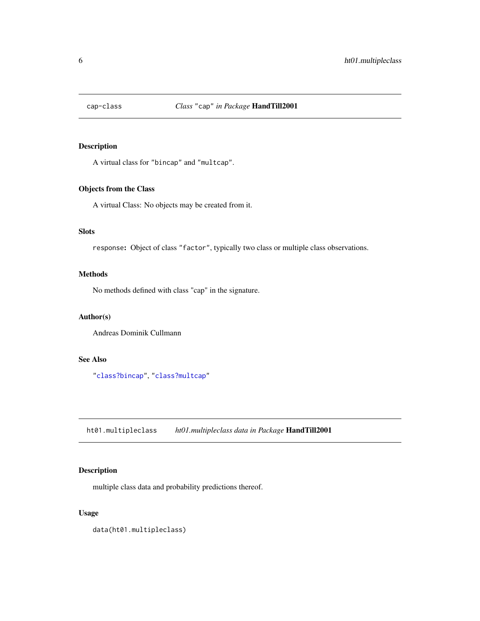<span id="page-5-1"></span><span id="page-5-0"></span>

A virtual class for "bincap" and "multcap".

## Objects from the Class

A virtual Class: No objects may be created from it.

## Slots

response: Object of class "factor", typically two class or multiple class observations.

## Methods

No methods defined with class "cap" in the signature.

## Author(s)

Andreas Dominik Cullmann

## See Also

["class?bincap"](#page-4-1), ["class?multcap"](#page-9-1)

ht01.multipleclass *ht01.multipleclass data in Package* HandTill2001

## Description

multiple class data and probability predictions thereof.

## Usage

data(ht01.multipleclass)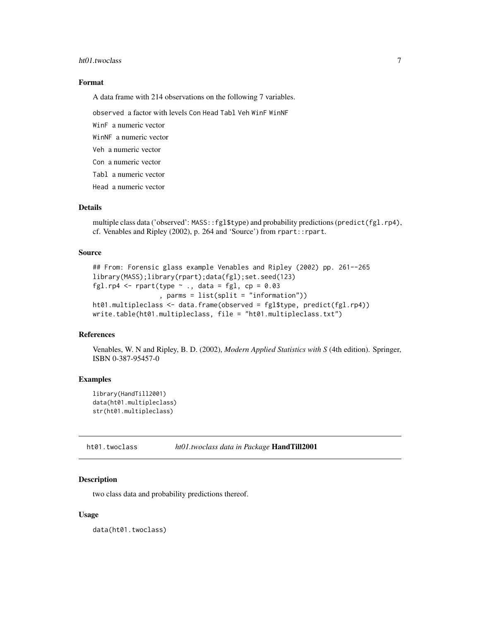#### <span id="page-6-0"></span>ht01.twoclass 7

## Format

A data frame with 214 observations on the following 7 variables.

observed a factor with levels Con Head Tabl Veh WinF WinNF

WinF a numeric vector

WinNF a numeric vector

Veh a numeric vector

Con a numeric vector

Tabl a numeric vector

Head a numeric vector

## Details

multiple class data ('observed': MASS::fgl\$type) and probability predictions (predict(fgl.rp4), cf. Venables and Ripley (2002), p. 264 and 'Source') from rpart::rpart.

#### Source

```
## From: Forensic glass example Venables and Ripley (2002) pp. 261--265
library(MASS);library(rpart);data(fgl);set.seed(123)
fgl.rp4 <- rpart(type \sim ., data = fgl, cp = 0.03
                 , parms = list(split = "information"))
ht01.multipleclass <- data.frame(observed = fgl$type, predict(fgl.rp4))
write.table(ht01.multipleclass, file = "ht01.multipleclass.txt")
```
#### References

Venables, W. N and Ripley, B. D. (2002), *Modern Applied Statistics with S* (4th edition). Springer, ISBN 0-387-95457-0

## Examples

```
library(HandTill2001)
data(ht01.multipleclass)
str(ht01.multipleclass)
```
ht01.twoclass *ht01.twoclass data in Package* HandTill2001

## Description

two class data and probability predictions thereof.

#### Usage

data(ht01.twoclass)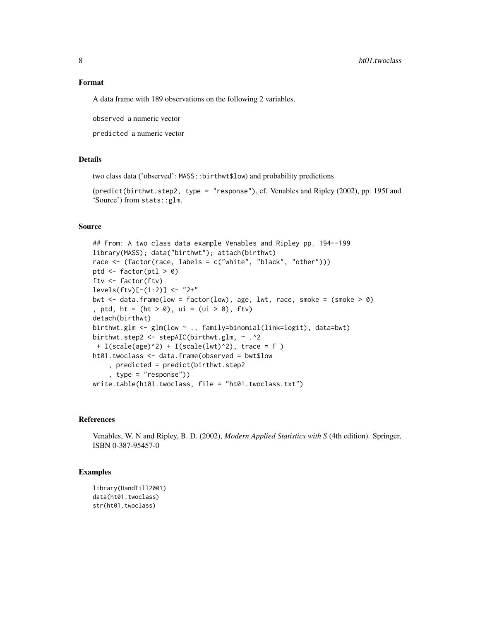#### Format

A data frame with 189 observations on the following 2 variables.

observed a numeric vector

predicted a numeric vector

## Details

two class data ('observed': MASS::birthwt\$low) and probability predictions

(predict(birthwt.step2, type = "response"), cf. Venables and Ripley (2002), pp. 195f and 'Source') from stats::glm.

#### Source

```
## From: A two class data example Venables and Ripley pp. 194--199
library(MASS); data("birthwt"); attach(birthwt)
race <- (factor(race, labels = c("white", "black", "other")))
ptd <- factor(ptl > 0)
ftv <- factor(ftv)
levels(ftv)[- (1:2)] < - "2+"
bwt \leq data.frame(low = factor(low), age, lwt, race, smoke = (smoke > 0)
, ptd, ht = (ht > 0), ui = (ui > 0), ftv)
detach(birthwt)
birthwt.glm <- glm(low ~ ., family=binomial(link=logit), data=bwt)
birthwt.step2 <- stepAIC(birthwt.glm, ~ .^2
+ I(scale(age)^2) + I(scale(lwt)^2), trace = F )
ht01.twoclass <- data.frame(observed = bwt$low
    , predicted = predict(birthwt.step2
    , type = "response"))
write.table(ht01.twoclass, file = "ht01.twoclass.txt")
```
#### References

Venables, W. N and Ripley, B. D. (2002), *Modern Applied Statistics with S* (4th edition). Springer, ISBN 0-387-95457-0

```
library(HandTill2001)
data(ht01.twoclass)
str(ht01.twoclass)
```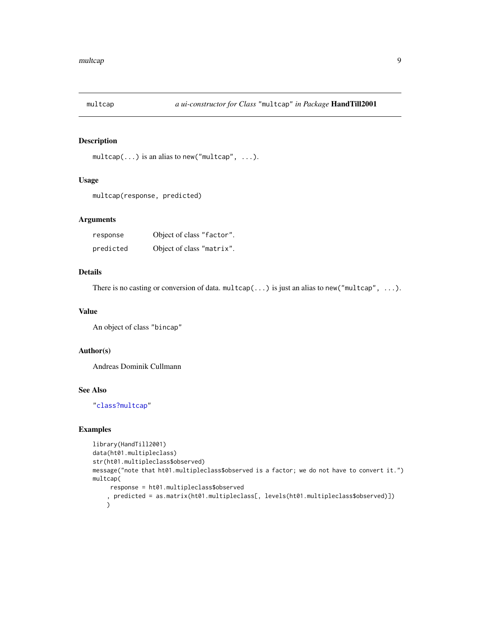<span id="page-8-1"></span><span id="page-8-0"></span>

 $multcap(...)$  is an alias to new("multcap", ...).

## Usage

multcap(response, predicted)

## Arguments

| response  | Object of class "factor". |  |
|-----------|---------------------------|--|
| predicted | Object of class "matrix". |  |

## Details

There is no casting or conversion of data. multcap $(\ldots)$  is just an alias to new("multcap",  $\ldots$ ).

#### Value

An object of class "bincap"

## Author(s)

Andreas Dominik Cullmann

#### See Also

["class?multcap"](#page-9-1)

```
library(HandTill2001)
data(ht01.multipleclass)
str(ht01.multipleclass$observed)
message("note that ht01.multipleclass$observed is a factor; we do not have to convert it.")
multcap(
     response = ht01.multipleclass$observed
    , predicted = as.matrix(ht01.multipleclass[, levels(ht01.multipleclass$observed)])
    )
```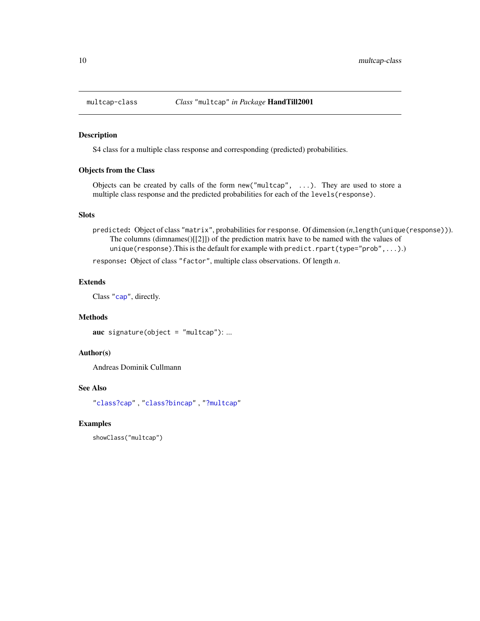<span id="page-9-1"></span><span id="page-9-0"></span>

S4 class for a multiple class response and corresponding (predicted) probabilities.

#### Objects from the Class

Objects can be created by calls of the form new("multcap", ...). They are used to store a multiple class response and the predicted probabilities for each of the levels(response).

## Slots

predicted: Object of class "matrix", probabilities for response. Of dimension (*n*,length(unique(response))). The columns (dimnames()[[2]]) of the prediction matrix have to be named with the values of unique(response). This is the default for example with predict.rpart(type="prob",...).)

response: Object of class "factor", multiple class observations. Of length *n*.

## Extends

Class ["cap"](#page-5-1), directly.

## **Methods**

auc signature(object =  $"multicap"$ ): ...

## Author(s)

Andreas Dominik Cullmann

## See Also

["class?cap"](#page-5-1) , ["class?bincap"](#page-4-1) , ["?multcap"](#page-8-1)

#### Examples

showClass("multcap")